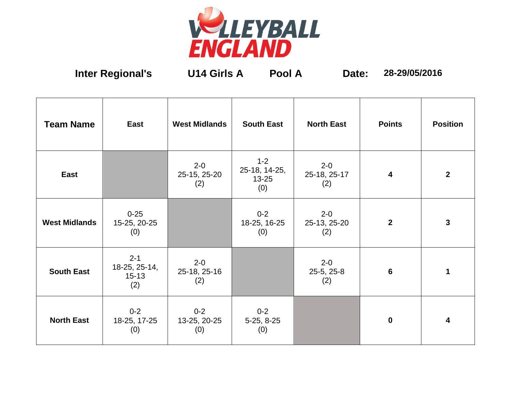

**Inter Regional's U14 Girls A Pool A Date: 28-29/05/2016**

| <b>Team Name</b>     | <b>East</b>                                  | <b>West Midlands</b>           | <b>South East</b>                            | <b>North East</b>              | <b>Points</b>           | <b>Position</b> |
|----------------------|----------------------------------------------|--------------------------------|----------------------------------------------|--------------------------------|-------------------------|-----------------|
| East                 |                                              | $2 - 0$<br>25-15, 25-20<br>(2) | $1 - 2$<br>25-18, 14-25,<br>$13 - 25$<br>(0) | $2 - 0$<br>25-18, 25-17<br>(2) | $\overline{\mathbf{4}}$ | $2^{\circ}$     |
| <b>West Midlands</b> | $0 - 25$<br>15-25, 20-25<br>(0)              |                                | $0 - 2$<br>18-25, 16-25<br>(0)               | $2 - 0$<br>25-13, 25-20<br>(2) | $\overline{2}$          | $\mathbf{3}$    |
| <b>South East</b>    | $2 - 1$<br>18-25, 25-14,<br>$15 - 13$<br>(2) | $2 - 0$<br>25-18, 25-16<br>(2) |                                              | $2 - 0$<br>25-5, 25-8<br>(2)   | $6\phantom{1}6$         | 1               |
| <b>North East</b>    | $0 - 2$<br>18-25, 17-25<br>(0)               | $0 - 2$<br>13-25, 20-25<br>(0) | $0 - 2$<br>5-25, 8-25<br>(0)                 |                                | $\mathbf 0$             | 4               |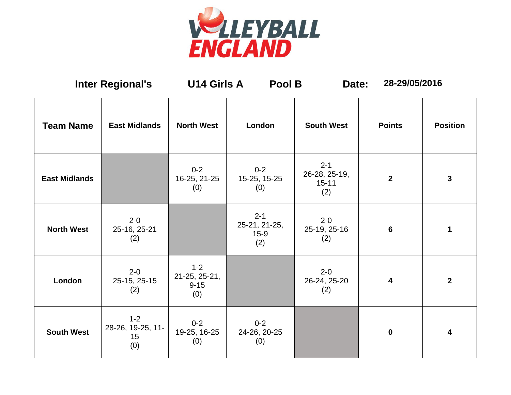

| <b>Inter Regional's</b> |                                           | <b>U14 Girls A</b>                          | Pool B                                    | Date:                                        | 28-29/05/2016           |                 |
|-------------------------|-------------------------------------------|---------------------------------------------|-------------------------------------------|----------------------------------------------|-------------------------|-----------------|
| <b>Team Name</b>        | <b>East Midlands</b>                      | <b>North West</b>                           | London                                    | <b>South West</b>                            | <b>Points</b>           | <b>Position</b> |
| <b>East Midlands</b>    |                                           | $0 - 2$<br>16-25, 21-25<br>(0)              | $0 - 2$<br>15-25, 15-25<br>(0)            | $2 - 1$<br>26-28, 25-19,<br>$15 - 11$<br>(2) | $\overline{2}$          | 3               |
| <b>North West</b>       | $2 - 0$<br>25-16, 25-21<br>(2)            |                                             | $2 - 1$<br>25-21, 21-25,<br>$15-9$<br>(2) | $2 - 0$<br>25-19, 25-16<br>(2)               | 6                       | 1               |
| London                  | $2 - 0$<br>25-15, 25-15<br>(2)            | $1 - 2$<br>21-25, 25-21,<br>$9 - 15$<br>(0) |                                           | $2 - 0$<br>26-24, 25-20<br>(2)               | $\overline{\mathbf{4}}$ | $\overline{2}$  |
| <b>South West</b>       | $1 - 2$<br>28-26, 19-25, 11-<br>15<br>(0) | $0 - 2$<br>19-25, 16-25<br>(0)              | $0 - 2$<br>24-26, 20-25<br>(0)            |                                              | $\mathbf 0$             | 4               |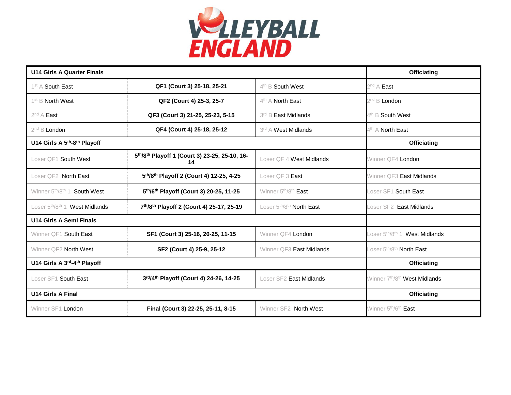

| <b>U14 Girls A Quarter Finals</b>                             |                                                     |                                                   | <b>Officiating</b>                                            |
|---------------------------------------------------------------|-----------------------------------------------------|---------------------------------------------------|---------------------------------------------------------------|
| 1 <sup>st</sup> A South East                                  | QF1 (Court 3) 25-18, 25-21                          | $4th$ B South West                                | $2^{nd}$ A East                                               |
| 1 <sup>st</sup> B <b>North West</b>                           | QF2 (Court 4) 25-3, 25-7                            | $4th$ A North East                                | 2 <sup>nd</sup> B <b>London</b>                               |
| $2^{nd}$ A East                                               | QF3 (Court 3) 21-25, 25-23, 5-15                    | 3rd B East Midlands                               | $4^{\text{th}}$ B South West                                  |
| $2^{nd}$ B <b>London</b>                                      | QF4 (Court 4) 25-18, 25-12                          | 3rd A West Midlands                               | 4 <sup>th</sup> A North East                                  |
| U14 Girls A 5 <sup>th</sup> -8 <sup>th</sup> Playoff          |                                                     |                                                   | <b>Officiating</b>                                            |
| Loser QF1 South West                                          | 5th/8th Playoff 1 (Court 3) 23-25, 25-10, 16-<br>14 | Loser QF 4 West Midlands                          | Winner QF4 London                                             |
| Loser QF2 North East                                          | 5th/8th Playoff 2 (Court 4) 12-25, 4-25             | Loser QF 3 East                                   | Winner QF3 East Midlands                                      |
| Winner 5 <sup>th</sup> /8 <sup>th</sup> 1 <b>South West</b>   | 5th/6th Playoff (Court 3) 20-25, 11-25              | Winner 5 <sup>th</sup> /8 <sup>th</sup> East      | Loser SF1 <b>South East</b>                                   |
| Loser 5 <sup>th</sup> /8 <sup>th</sup> 1 <b>West Midlands</b> | 7th/8th Playoff 2 (Court 4) 25-17, 25-19            | Loser 5 <sup>th</sup> /8 <sup>th</sup> North East | Loser SF2 East Midlands                                       |
| U14 Girls A Semi Finals                                       |                                                     |                                                   |                                                               |
| Winner QF1 South East                                         | SF1 (Court 3) 25-16, 20-25, 11-15                   | Winner QF4 London                                 | Loser 5 <sup>th</sup> /8 <sup>th</sup> 1 <b>West Midlands</b> |
| Winner QF2 North West                                         | SF2 (Court 4) 25-9, 25-12                           | Winner QF3 East Midlands                          | Loser 5 <sup>th</sup> /8 <sup>th</sup> <b>North East</b>      |
| U14 Girls A 3rd-4th Playoff                                   |                                                     |                                                   | <b>Officiating</b>                                            |
| Loser SF1 South East                                          | 3rd/4th Playoff (Court 4) 24-26, 14-25              | Loser SF2 East Midlands                           | Winner 7 <sup>th</sup> /8 <sup>th</sup> West Midlands         |
| <b>U14 Girls A Final</b>                                      |                                                     |                                                   | <b>Officiating</b>                                            |
| Winner SF1 London                                             | Final (Court 3) 22-25, 25-11, 8-15                  | Winner SF2 North West                             | Winner 5 <sup>th</sup> /6 <sup>th</sup> East                  |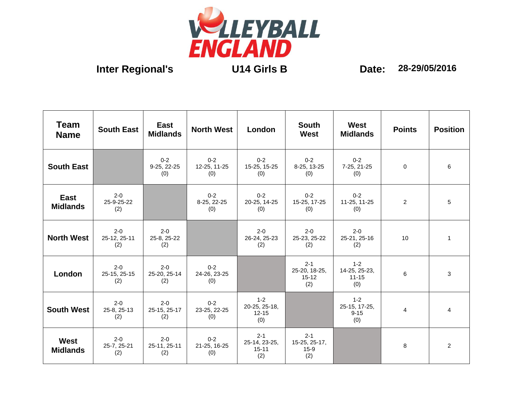

| <b>Team</b><br><b>Name</b> | <b>South East</b>              | East<br><b>Midlands</b>        | <b>North West</b>              | London                                       | <b>South</b><br><b>West</b>                  | West<br><b>Midlands</b>                      | <b>Points</b>  | <b>Position</b> |
|----------------------------|--------------------------------|--------------------------------|--------------------------------|----------------------------------------------|----------------------------------------------|----------------------------------------------|----------------|-----------------|
| <b>South East</b>          |                                | $0 - 2$<br>9-25, 22-25<br>(0)  | $0 - 2$<br>12-25, 11-25<br>(0) | $0 - 2$<br>15-25, 15-25<br>(0)               | $0 - 2$<br>8-25, 13-25<br>(0)                | $0 - 2$<br>7-25, 21-25<br>(0)                | $\Omega$       | 6               |
| East<br><b>Midlands</b>    | $2 - 0$<br>25-9-25-22<br>(2)   |                                | $0 - 2$<br>8-25, 22-25<br>(0)  | $0 - 2$<br>20-25, 14-25<br>(0)               | $0 - 2$<br>15-25, 17-25<br>(0)               | $0 - 2$<br>11-25, 11-25<br>(0)               | $\overline{2}$ | 5               |
| <b>North West</b>          | $2 - 0$<br>25-12, 25-11<br>(2) | $2 - 0$<br>25-8, 25-22<br>(2)  |                                | $2 - 0$<br>26-24, 25-23<br>(2)               | $2 - 0$<br>25-23, 25-22<br>(2)               | $2 - 0$<br>25-21, 25-16<br>(2)               | 10             | $\mathbf{1}$    |
| London                     | $2 - 0$<br>25-15, 25-15<br>(2) | $2 - 0$<br>25-20, 25-14<br>(2) | $0 - 2$<br>24-26, 23-25<br>(0) |                                              | $2 - 1$<br>25-20, 18-25,<br>$15 - 12$<br>(2) | $1 - 2$<br>14-25, 25-23,<br>$11 - 15$<br>(0) | 6              | 3               |
| <b>South West</b>          | $2 - 0$<br>25-8, 25-13<br>(2)  | $2 - 0$<br>25-15, 25-17<br>(2) | $0 - 2$<br>23-25, 22-25<br>(0) | $1 - 2$<br>20-25, 25-18,<br>$12 - 15$<br>(0) |                                              | $1 - 2$<br>25-15, 17-25,<br>$9 - 15$<br>(0)  | $\overline{4}$ | $\overline{4}$  |
| West<br><b>Midlands</b>    | $2 - 0$<br>25-7, 25-21<br>(2)  | $2 - 0$<br>25-11, 25-11<br>(2) | $0 - 2$<br>21-25, 16-25<br>(0) | $2 - 1$<br>25-14, 23-25,<br>$15 - 11$<br>(2) | $2 - 1$<br>15-25, 25-17,<br>$15-9$<br>(2)    |                                              | 8              | $\overline{2}$  |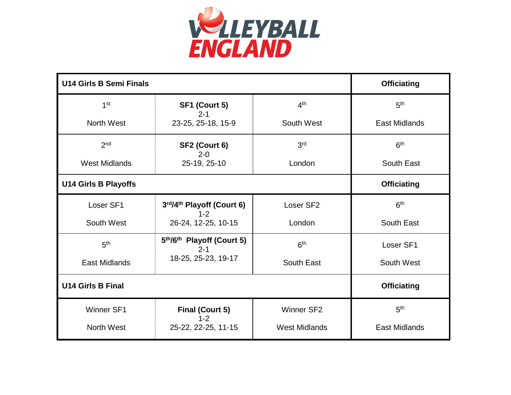

| <b>U14 Girls B Semi Finals</b> | <b>Officiating</b>                   |                      |                      |  |  |
|--------------------------------|--------------------------------------|----------------------|----------------------|--|--|
| 1 <sup>st</sup>                | SF1 (Court 5)                        | 4 <sup>th</sup>      | 5 <sup>th</sup>      |  |  |
| North West                     | $2 - 1$<br>23-25, 25-18, 15-9        | South West           | <b>East Midlands</b> |  |  |
| 2 <sub>nd</sub>                | SF2 (Court 6)<br>$2 - 0$             | 3rd                  | 6 <sup>th</sup>      |  |  |
| <b>West Midlands</b>           | 25-19, 25-10                         | London               | South East           |  |  |
| <b>U14 Girls B Playoffs</b>    | <b>Officiating</b>                   |                      |                      |  |  |
| Loser SF1                      | 3rd/4th Playoff (Court 6)<br>$1 - 2$ | Loser SF2            | 6 <sup>th</sup>      |  |  |
| South West                     | 26-24, 12-25, 10-15                  | London               | South East           |  |  |
| 5 <sup>th</sup>                | 5th/6th Playoff (Court 5)<br>$2 - 1$ | 6 <sup>th</sup>      | Loser SF1            |  |  |
| <b>East Midlands</b>           | 18-25, 25-23, 19-17                  | South East           | South West           |  |  |
| <b>U14 Girls B Final</b>       |                                      |                      |                      |  |  |
| <b>Winner SF1</b>              | <b>Final (Court 5)</b><br>$1 - 2$    | <b>Winner SF2</b>    | 5 <sup>th</sup>      |  |  |
| North West                     | 25-22, 22-25, 11-15                  | <b>West Midlands</b> | <b>East Midlands</b> |  |  |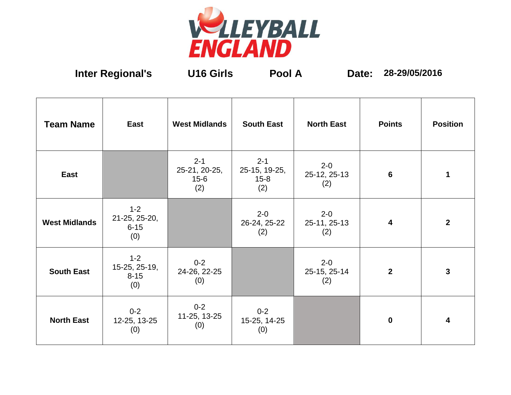

**Inter Regional's U16 Girls Pool A Date: 28-29/05/2016**

| <b>Team Name</b>     | East                                        | <b>West Midlands</b>                        | <b>South East</b>                           | <b>North East</b>              | <b>Points</b>           | <b>Position</b> |
|----------------------|---------------------------------------------|---------------------------------------------|---------------------------------------------|--------------------------------|-------------------------|-----------------|
| East                 |                                             | $2 - 1$<br>25-21, 20-25,<br>$15 - 6$<br>(2) | $2 - 1$<br>25-15, 19-25,<br>$15 - 8$<br>(2) | $2 - 0$<br>25-12, 25-13<br>(2) | $6\phantom{1}6$         | 1               |
| <b>West Midlands</b> | $1 - 2$<br>21-25, 25-20,<br>$6 - 15$<br>(0) |                                             | $2 - 0$<br>26-24, 25-22<br>(2)              | $2 - 0$<br>25-11, 25-13<br>(2) | $\overline{\mathbf{4}}$ | $\mathbf{2}$    |
| <b>South East</b>    | $1 - 2$<br>15-25, 25-19,<br>$8 - 15$<br>(0) | $0 - 2$<br>24-26, 22-25<br>(0)              |                                             | $2 - 0$<br>25-15, 25-14<br>(2) | $\overline{2}$          | 3               |
| <b>North East</b>    | $0 - 2$<br>12-25, 13-25<br>(0)              | $0 - 2$<br>11-25, 13-25<br>(0)              | $0 - 2$<br>15-25, 14-25<br>(0)              |                                | $\bf{0}$                | 4               |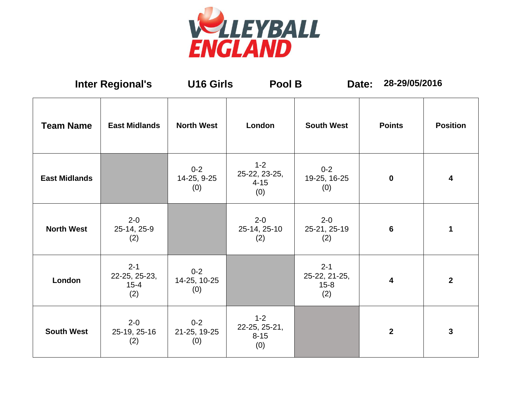

| <b>Inter Regional's</b> |                                             | <b>U16 Girls</b>               | Pool B                                      |                                             | 28-29/05/2016<br>Date:  |                 |
|-------------------------|---------------------------------------------|--------------------------------|---------------------------------------------|---------------------------------------------|-------------------------|-----------------|
| <b>Team Name</b>        | <b>East Midlands</b>                        | <b>North West</b>              | London                                      | <b>South West</b>                           | <b>Points</b>           | <b>Position</b> |
| <b>East Midlands</b>    |                                             | $0 - 2$<br>14-25, 9-25<br>(0)  | $1 - 2$<br>25-22, 23-25,<br>$4 - 15$<br>(0) | $0 - 2$<br>19-25, 16-25<br>(0)              | $\mathbf 0$             | 4               |
| <b>North West</b>       | $2 - 0$<br>25-14, 25-9<br>(2)               |                                | $2 - 0$<br>25-14, 25-10<br>(2)              | $2 - 0$<br>25-21, 25-19<br>(2)              | $6\phantom{1}6$         | 1               |
| London                  | $2 - 1$<br>22-25, 25-23,<br>$15 - 4$<br>(2) | $0 - 2$<br>14-25, 10-25<br>(0) |                                             | $2 - 1$<br>25-22, 21-25,<br>$15 - 8$<br>(2) | $\overline{\mathbf{4}}$ | $\mathbf{2}$    |
| <b>South West</b>       | $2 - 0$<br>25-19, 25-16<br>(2)              | $0 - 2$<br>21-25, 19-25<br>(0) | $1 - 2$<br>22-25, 25-21,<br>$8 - 15$<br>(0) |                                             | $\mathbf{2}$            | 3               |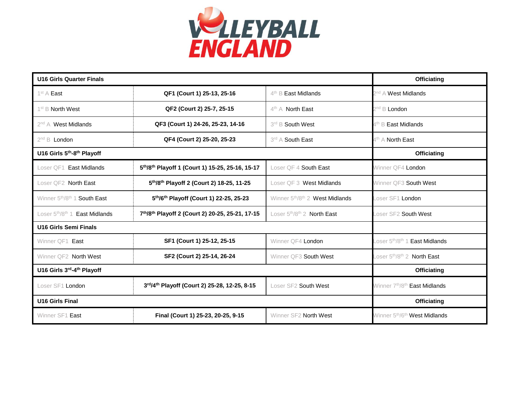

| <b>U16 Girls Quarter Finals</b>                             |                                                 |                                                            | <b>Officiating</b>                                                    |
|-------------------------------------------------------------|-------------------------------------------------|------------------------------------------------------------|-----------------------------------------------------------------------|
| 1 <sup>st</sup> A <b>East</b>                               | QF1 (Court 1) 25-13, 25-16                      | $4th$ B East Midlands                                      | 2 <sup>nd</sup> A West Midlands                                       |
| $1^{\text{st}}$ B North West                                | QF2 (Court 2) 25-7, 25-15                       | $4th$ A North East                                         | 2 <sup>nd</sup> B <b>London</b>                                       |
| $2^{nd}$ A West Midlands                                    | QF3 (Court 1) 24-26, 25-23, 14-16               | 3rd B South West                                           | <sup>4th</sup> B <b>East Midlands</b>                                 |
| $2^{nd}$ B <b>London</b>                                    | QF4 (Court 2) 25-20, 25-23                      | 3rd A South East                                           | 4 <sup>th</sup> A <b>North East</b>                                   |
| U16 Girls 5th-8th Playoff                                   |                                                 |                                                            | <b>Officiating</b>                                                    |
| <b>East Midlands</b><br>Loser QF1                           | 5th/8th Playoff 1 (Court 1) 15-25, 25-16, 15-17 | Loser QF 4 South East                                      | Winner QF4 London                                                     |
| Loser QF2 North East                                        | 5th/8th Playoff 2 (Court 2) 18-25, 11-25        | Loser QF 3 West Midlands                                   | Winner QF3 South West                                                 |
| Winner 5 <sup>th</sup> /8 <sup>th</sup> 1 <b>South East</b> | 5th/6th Playoff (Court 1) 22-25, 25-23          | Winner 5th/8th 2 West Midlands                             | Loser SF1 <b>London</b>                                               |
| Loser 5th/8th 1 East Midlands                               | 7th/8th Playoff 2 (Court 2) 20-25, 25-21, 17-15 | Loser 5 <sup>th</sup> /8 <sup>th</sup> 2 <b>North East</b> | Loser SF2 South West                                                  |
| <b>U16 Girls Semi Finals</b>                                |                                                 |                                                            |                                                                       |
| Winner QF1 East                                             | SF1 (Court 1) 25-12, 25-15                      | Winner QF4 London                                          | Loser 5 <sup>th</sup> /8 <sup>th</sup> 1 <b>East Midlands</b>         |
| Winner QF2 North West                                       | SF2 (Court 2) 25-14, 26-24                      | Winner QF3 South West                                      | Loser 5 <sup>th</sup> /8 <sup>th</sup> 2 <b>North East</b>            |
| U16 Girls 3rd-4th Playoff                                   |                                                 |                                                            | <b>Officiating</b>                                                    |
| Loser SF1 London                                            | 3rd/4th Playoff (Court 2) 25-28, 12-25, 8-15    | Loser SF2 South West                                       | Winner 7 <sup>th</sup> /8 <sup>th</sup><br><sup>≀</sup> East Midlands |
| <b>U16 Girls Final</b>                                      |                                                 |                                                            | <b>Officiating</b>                                                    |
| Winner SF1 East                                             | Final (Court 1) 25-23, 20-25, 9-15              | Winner SF2 North West                                      | Winner 5 <sup>th</sup> /6 <sup>th</sup> West Midlands                 |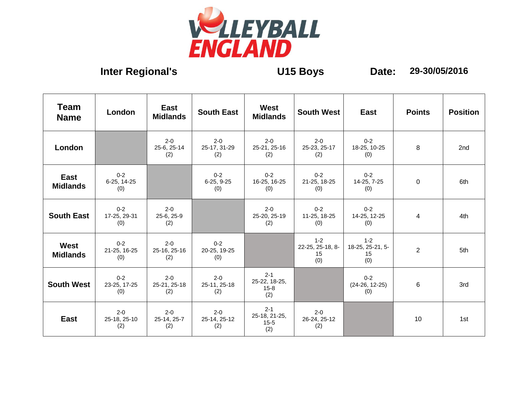

## **Inter Regional's U15 Boys Date: 29-30/05/2016**

| <b>Team</b><br><b>Name</b>     | London                         | East<br><b>Midlands</b>        | <b>South East</b>              | <b>West</b><br><b>Midlands</b>              | South West                               | East                                   | <b>Points</b>  | <b>Position</b> |
|--------------------------------|--------------------------------|--------------------------------|--------------------------------|---------------------------------------------|------------------------------------------|----------------------------------------|----------------|-----------------|
| London                         |                                | $2 - 0$<br>25-6, 25-14<br>(2)  | $2 - 0$<br>25-17, 31-29<br>(2) | $2 - 0$<br>25-21, 25-16<br>(2)              | $2 - 0$<br>25-23, 25-17<br>(2)           | $0 - 2$<br>18-25, 10-25<br>(0)         | 8              | 2nd             |
| East<br><b>Midlands</b>        | $0 - 2$<br>6-25, 14-25<br>(0)  |                                | $0 - 2$<br>$6-25, 9-25$<br>(0) | $0 - 2$<br>16-25, 16-25<br>(0)              | $0 - 2$<br>21-25, 18-25<br>(0)           | $0 - 2$<br>14-25, 7-25<br>(0)          | 0              | 6th             |
| <b>South East</b>              | $0 - 2$<br>17-25, 29-31<br>(0) | $2 - 0$<br>25-6, 25-9<br>(2)   |                                | $2 - 0$<br>25-20, 25-19<br>(2)              | $0 - 2$<br>11-25, 18-25<br>(0)           | $0 - 2$<br>14-25, 12-25<br>(0)         | 4              | 4th             |
| <b>West</b><br><b>Midlands</b> | $0 - 2$<br>21-25, 16-25<br>(0) | $2 - 0$<br>25-16, 25-16<br>(2) | $0 - 2$<br>20-25, 19-25<br>(0) |                                             | $1 - 2$<br>22-25, 25-18, 8-<br>15<br>(0) | $1-2$<br>18-25, 25-21, 5-<br>15<br>(0) | $\overline{2}$ | 5th             |
| <b>South West</b>              | $0 - 2$<br>23-25, 17-25<br>(0) | $2 - 0$<br>25-21, 25-18<br>(2) | $2 - 0$<br>25-11, 25-18<br>(2) | $2 - 1$<br>25-22, 18-25,<br>$15 - 8$<br>(2) |                                          | $0 - 2$<br>$(24-26, 12-25)$<br>(0)     | 6              | 3rd             |
| East                           | $2 - 0$<br>25-18, 25-10<br>(2) | $2 - 0$<br>25-14, 25-7<br>(2)  | $2 - 0$<br>25-14, 25-12<br>(2) | $2 - 1$<br>25-18, 21-25,<br>$15 - 5$<br>(2) | $2 - 0$<br>26-24, 25-12<br>(2)           |                                        | 10             | 1st             |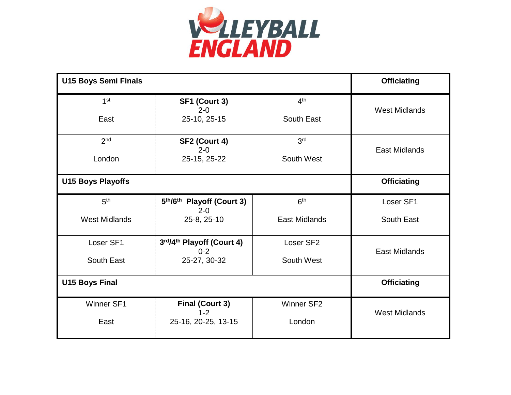

| <b>U15 Boys Semi Finals</b> |                                      |                      | <b>Officiating</b>   |
|-----------------------------|--------------------------------------|----------------------|----------------------|
| 1 <sup>st</sup>             | SF1 (Court 3)<br>$2 - 0$             | 4 <sup>th</sup>      | <b>West Midlands</b> |
| East                        | 25-10, 25-15                         | South East           |                      |
| 2 <sub>nd</sub>             | SF2 (Court 4)<br>$2 - 0$             | 3 <sup>rd</sup>      | <b>East Midlands</b> |
| London                      | 25-15, 25-22                         | South West           |                      |
| <b>U15 Boys Playoffs</b>    |                                      |                      | <b>Officiating</b>   |
| 5 <sup>th</sup>             | 5th/6th Playoff (Court 3)<br>$2 - 0$ | 6 <sup>th</sup>      | Loser SF1            |
| <b>West Midlands</b>        | 25-8, 25-10                          | <b>East Midlands</b> | South East           |
| Loser SF1                   | 3rd/4th Playoff (Court 4)<br>$0 - 2$ | Loser SF2            | <b>East Midlands</b> |
| South East                  | 25-27, 30-32                         | South West           |                      |
| <b>U15 Boys Final</b>       |                                      |                      | <b>Officiating</b>   |
| Winner SF1                  | <b>Final (Court 3)</b><br>$1 - 2$    | Winner SF2           | <b>West Midlands</b> |
| East                        | 25-16, 20-25, 13-15                  | London               |                      |